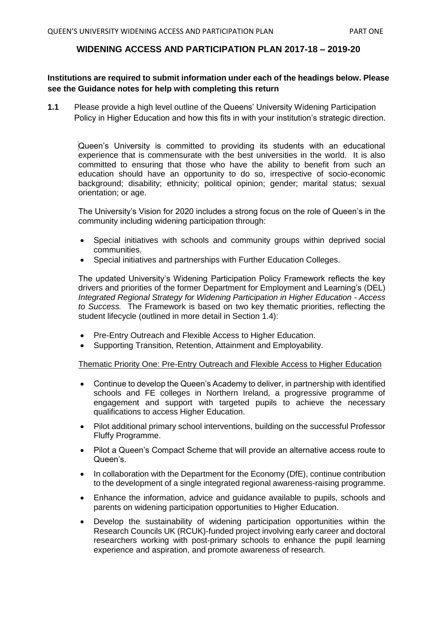## **WIDENING ACCESS AND PARTICIPATION PLAN 2017-18 – 2019-20**

## **Institutions are required to submit information under each of the headings below. Please see the Guidance notes for help with completing this return**

**1.1** Please provide a high level outline of the Queens' University Widening Participation Policy in Higher Education and how this fits in with your institution's strategic direction.

Queen's University is committed to providing its students with an educational experience that is commensurate with the best universities in the world. It is also committed to ensuring that those who have the ability to benefit from such an education should have an opportunity to do so, irrespective of socio-economic background; disability; ethnicity; political opinion; gender; marital status; sexual orientation; or age.

The University's Vision for 2020 includes a strong focus on the role of Queen's in the community including widening participation through:

- Special initiatives with schools and community groups within deprived social communities.
- Special initiatives and partnerships with Further Education Colleges.

The updated University's Widening Participation Policy Framework reflects the key drivers and priorities of the former Department for Employment and Learning's (DEL) *Integrated Regional Strategy for Widening Participation in Higher Education - Access to Success.* The Framework is based on two key thematic priorities, reflecting the student lifecycle (outlined in more detail in Section 1.4):

- Pre-Entry Outreach and Flexible Access to Higher Education.
- Supporting Transition, Retention, Attainment and Employability.

Thematic Priority One: Pre-Entry Outreach and Flexible Access to Higher Education

- Continue to develop the Queen's Academy to deliver, in partnership with identified schools and FE colleges in Northern Ireland, a progressive programme of engagement and support with targeted pupils to achieve the necessary qualifications to access Higher Education.
- Pilot additional primary school interventions, building on the successful Professor Fluffy Programme.
- Pilot a Queen's Compact Scheme that will provide an alternative access route to Queen's.
- In collaboration with the Department for the Economy (DfE), continue contribution to the development of a single integrated regional awareness-raising programme.
- Enhance the information, advice and guidance available to pupils, schools and parents on widening participation opportunities to Higher Education.
- Develop the sustainability of widening participation opportunities within the Research Councils UK (RCUK)-funded project involving early career and doctoral researchers working with post-primary schools to enhance the pupil learning experience and aspiration, and promote awareness of research.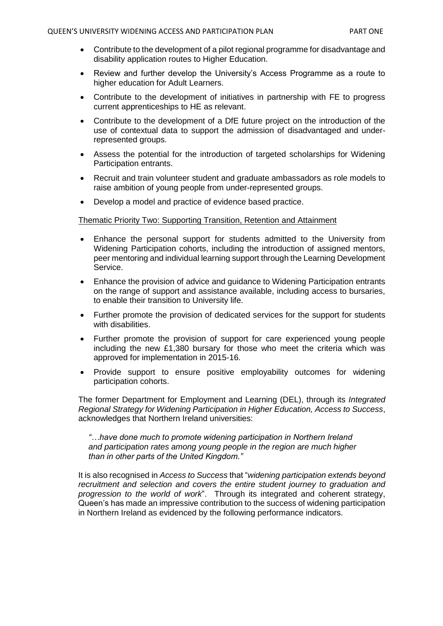- Contribute to the development of a pilot regional programme for disadvantage and disability application routes to Higher Education.
- Review and further develop the University's Access Programme as a route to higher education for Adult Learners.
- Contribute to the development of initiatives in partnership with FE to progress current apprenticeships to HE as relevant.
- Contribute to the development of a DfE future project on the introduction of the use of contextual data to support the admission of disadvantaged and underrepresented groups.
- Assess the potential for the introduction of targeted scholarships for Widening Participation entrants.
- Recruit and train volunteer student and graduate ambassadors as role models to raise ambition of young people from under-represented groups.
- Develop a model and practice of evidence based practice.

### Thematic Priority Two: Supporting Transition, Retention and Attainment

- Enhance the personal support for students admitted to the University from Widening Participation cohorts, including the introduction of assigned mentors, peer mentoring and individual learning support through the Learning Development Service.
- Enhance the provision of advice and guidance to Widening Participation entrants on the range of support and assistance available, including access to bursaries, to enable their transition to University life.
- Further promote the provision of dedicated services for the support for students with disabilities.
- Further promote the provision of support for care experienced young people including the new £1,380 bursary for those who meet the criteria which was approved for implementation in 2015-16.
- Provide support to ensure positive employability outcomes for widening participation cohorts.

The former Department for Employment and Learning (DEL), through its *Integrated Regional Strategy for Widening Participation in Higher Education, Access to Success*, acknowledges that Northern Ireland universities:

*"…have done much to promote widening participation in Northern Ireland and participation rates among young people in the region are much higher than in other parts of the United Kingdom."*

It is also recognised in *Access to Success* that "*widening participation extends beyond recruitment and selection and covers the entire student journey to graduation and progression to the world of work*". Through its integrated and coherent strategy, Queen's has made an impressive contribution to the success of widening participation in Northern Ireland as evidenced by the following performance indicators.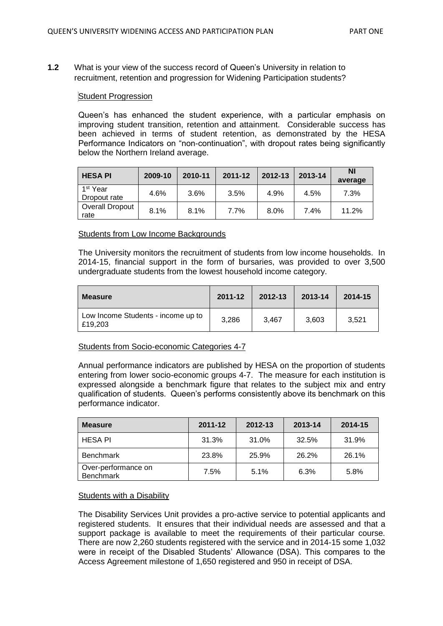**1.2** What is your view of the success record of Queen's University in relation to recruitment, retention and progression for Widening Participation students?

### Student Progression

Queen's has enhanced the student experience, with a particular emphasis on improving student transition, retention and attainment. Considerable success has been achieved in terms of student retention, as demonstrated by the HESA Performance Indicators on "non-continuation", with dropout rates being significantly below the Northern Ireland average.

| <b>HESA PI</b>                       | 2009-10 | 2010-11 | 2011-12 | 2012-13 | 2013-14 | ΝI<br>average |
|--------------------------------------|---------|---------|---------|---------|---------|---------------|
| 1 <sup>st</sup> Year<br>Dropout rate | 4.6%    | 3.6%    | 3.5%    | 4.9%    | 4.5%    | 7.3%          |
| Overall Dropout<br>rate              | 8.1%    | 8.1%    | 7.7%    | 8.0%    | 7.4%    | 11.2%         |

#### Students from Low Income Backgrounds

The University monitors the recruitment of students from low income households. In 2014-15, financial support in the form of bursaries, was provided to over 3,500 undergraduate students from the lowest household income category.

| Measure                                       | 2011-12 | 2012-13 | 2013-14 | 2014-15 |
|-----------------------------------------------|---------|---------|---------|---------|
| Low Income Students - income up to<br>£19,203 | 3,286   | 3.467   | 3.603   | 3.521   |

## Students from Socio-economic Categories 4-7

Annual performance indicators are published by HESA on the proportion of students entering from lower socio-economic groups 4-7. The measure for each institution is expressed alongside a benchmark figure that relates to the subject mix and entry qualification of students. Queen's performs consistently above its benchmark on this performance indicator.

| <b>Measure</b>                          | 2011-12 | 2012-13 | 2013-14 | 2014-15 |
|-----------------------------------------|---------|---------|---------|---------|
| <b>HESA PI</b>                          | 31.3%   | 31.0%   | 32.5%   | 31.9%   |
| <b>Benchmark</b>                        | 23.8%   | 25.9%   | 26.2%   | 26.1%   |
| Over-performance on<br><b>Benchmark</b> | 7.5%    | 5.1%    | 6.3%    | 5.8%    |

#### Students with a Disability

The Disability Services Unit provides a pro-active service to potential applicants and registered students. It ensures that their individual needs are assessed and that a support package is available to meet the requirements of their particular course. There are now 2,260 students registered with the service and in 2014-15 some 1,032 were in receipt of the Disabled Students' Allowance (DSA). This compares to the Access Agreement milestone of 1,650 registered and 950 in receipt of DSA.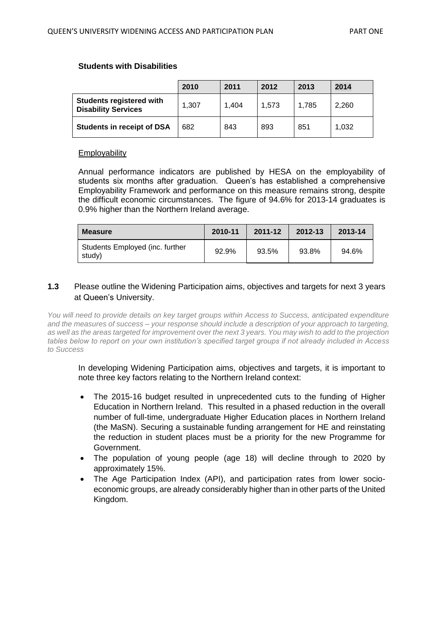### **Students with Disabilities**

|                                                               | 2010  | 2011  | 2012  | 2013  | 2014  |
|---------------------------------------------------------------|-------|-------|-------|-------|-------|
| <b>Students registered with</b><br><b>Disability Services</b> | 1.307 | 1.404 | 1.573 | 1.785 | 2.260 |
| <b>Students in receipt of DSA</b>                             | 682   | 843   | 893   | 851   | 1.032 |

#### **Employability**

Annual performance indicators are published by HESA on the employability of students six months after graduation. Queen's has established a comprehensive Employability Framework and performance on this measure remains strong, despite the difficult economic circumstances. The figure of 94.6% for 2013-14 graduates is 0.9% higher than the Northern Ireland average.

| <b>Measure</b>                            | 2010-11 | 2011-12 | 2012-13 | 2013-14 |
|-------------------------------------------|---------|---------|---------|---------|
| Students Employed (inc. further<br>study) | 92.9%   | 93.5%   | 93.8%   | 94.6%   |

## **1.3** Please outline the Widening Participation aims, objectives and targets for next 3 years at Queen's University.

*You will need to provide details on key target groups within Access to Success, anticipated expenditure and the measures of success – your response should include a description of your approach to targeting, as well as the areas targeted for improvement over the next 3 years. You may wish to add to the projection tables below to report on your own institution's specified target groups if not already included in Access to Success*

In developing Widening Participation aims, objectives and targets, it is important to note three key factors relating to the Northern Ireland context:

- The 2015-16 budget resulted in unprecedented cuts to the funding of Higher Education in Northern Ireland. This resulted in a phased reduction in the overall number of full-time, undergraduate Higher Education places in Northern Ireland (the MaSN). Securing a sustainable funding arrangement for HE and reinstating the reduction in student places must be a priority for the new Programme for Government.
- The population of young people (age 18) will decline through to 2020 by approximately 15%.
- The Age Participation Index (API), and participation rates from lower socioeconomic groups, are already considerably higher than in other parts of the United Kingdom.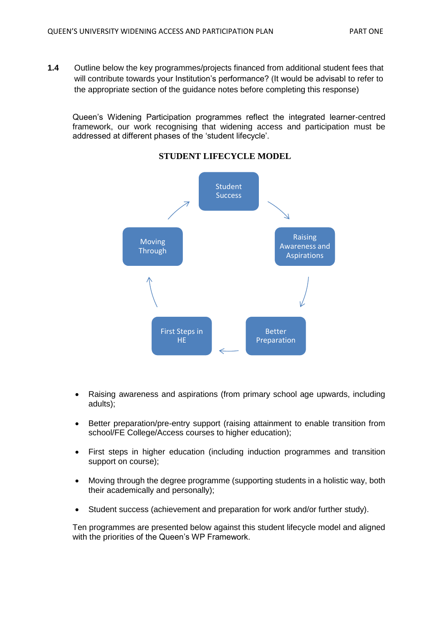**1.4** Outline below the key programmes/projects financed from additional student fees that will contribute towards your Institution's performance? (It would be advisabl to refer to the appropriate section of the guidance notes before completing this response)

Queen's Widening Participation programmes reflect the integrated learner-centred framework, our work recognising that widening access and participation must be addressed at different phases of the 'student lifecycle'.



## **STUDENT LIFECYCLE MODEL**

- Raising awareness and aspirations (from primary school age upwards, including adults);
- Better preparation/pre-entry support (raising attainment to enable transition from school/FE College/Access courses to higher education);
- First steps in higher education (including induction programmes and transition support on course);
- Moving through the degree programme (supporting students in a holistic way, both their academically and personally);
- Student success (achievement and preparation for work and/or further study).

Ten programmes are presented below against this student lifecycle model and aligned with the priorities of the Queen's WP Framework.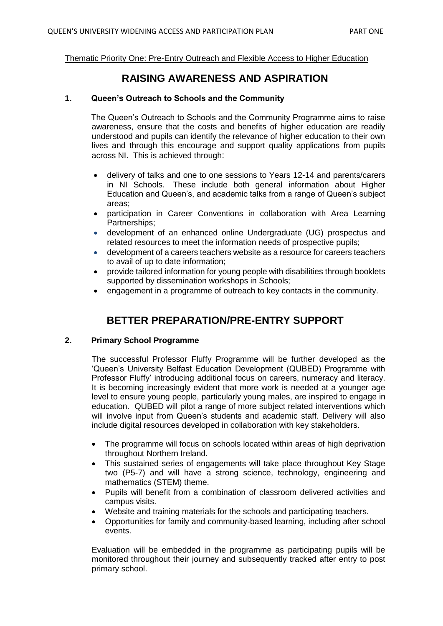Thematic Priority One: Pre-Entry Outreach and Flexible Access to Higher Education

# **RAISING AWARENESS AND ASPIRATION**

### **1. Queen's Outreach to Schools and the Community**

The Queen's Outreach to Schools and the Community Programme aims to raise awareness, ensure that the costs and benefits of higher education are readily understood and pupils can identify the relevance of higher education to their own lives and through this encourage and support quality applications from pupils across NI. This is achieved through:

- delivery of talks and one to one sessions to Years 12-14 and parents/carers in NI Schools. These include both general information about Higher Education and Queen's, and academic talks from a range of Queen's subject areas;
- participation in Career Conventions in collaboration with Area Learning Partnerships;
- development of an enhanced online Undergraduate (UG) prospectus and related resources to meet the information needs of prospective pupils;
- development of a careers teachers website as a resource for careers teachers to avail of up to date information;
- provide tailored information for young people with disabilities through booklets supported by dissemination workshops in Schools;
- engagement in a programme of outreach to key contacts in the community.

# **BETTER PREPARATION/PRE-ENTRY SUPPORT**

## **2. Primary School Programme**

The successful Professor Fluffy Programme will be further developed as the 'Queen's University Belfast Education Development (QUBED) Programme with Professor Fluffy' introducing additional focus on careers, numeracy and literacy. It is becoming increasingly evident that more work is needed at a younger age level to ensure young people, particularly young males, are inspired to engage in education. QUBED will pilot a range of more subject related interventions which will involve input from Queen's students and academic staff. Delivery will also include digital resources developed in collaboration with key stakeholders.

- The programme will focus on schools located within areas of high deprivation throughout Northern Ireland.
- This sustained series of engagements will take place throughout Key Stage two (P5-7) and will have a strong science, technology, engineering and mathematics (STEM) theme.
- Pupils will benefit from a combination of classroom delivered activities and campus visits.
- Website and training materials for the schools and participating teachers.
- Opportunities for family and community-based learning, including after school events.

Evaluation will be embedded in the programme as participating pupils will be monitored throughout their journey and subsequently tracked after entry to post primary school.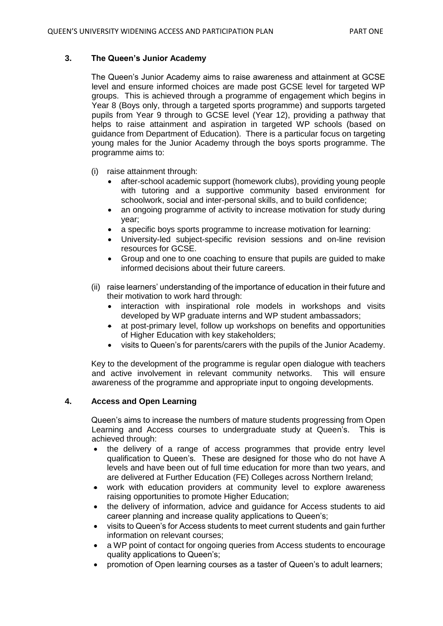## **3. The Queen's Junior Academy**

The Queen's Junior Academy aims to raise awareness and attainment at GCSE level and ensure informed choices are made post GCSE level for targeted WP groups. This is achieved through a programme of engagement which begins in Year 8 (Boys only, through a targeted sports programme) and supports targeted pupils from Year 9 through to GCSE level (Year 12), providing a pathway that helps to raise attainment and aspiration in targeted WP schools (based on guidance from Department of Education). There is a particular focus on targeting young males for the Junior Academy through the boys sports programme. The programme aims to:

- (i) raise attainment through:
	- after-school academic support (homework clubs), providing young people with tutoring and a supportive community based environment for schoolwork, social and inter-personal skills, and to build confidence;
	- an ongoing programme of activity to increase motivation for study during year;
	- a specific boys sports programme to increase motivation for learning:
	- University-led subject-specific revision sessions and on-line revision resources for GCSE.
	- Group and one to one coaching to ensure that pupils are guided to make informed decisions about their future careers.
- (ii) raise learners' understanding of the importance of education in their future and their motivation to work hard through:
	- interaction with inspirational role models in workshops and visits developed by WP graduate interns and WP student ambassadors;
	- at post-primary level, follow up workshops on benefits and opportunities of Higher Education with key stakeholders;
	- visits to Queen's for parents/carers with the pupils of the Junior Academy.

Key to the development of the programme is regular open dialogue with teachers and active involvement in relevant community networks. This will ensure awareness of the programme and appropriate input to ongoing developments.

## **4. Access and Open Learning**

Queen's aims to increase the numbers of mature students progressing from Open Learning and Access courses to undergraduate study at Queen's. This is achieved through:

- the delivery of a range of access programmes that provide entry level qualification to Queen's. These are designed for those who do not have A levels and have been out of full time education for more than two years, and are delivered at Further Education (FE) Colleges across Northern Ireland;
- work with education providers at community level to explore awareness raising opportunities to promote Higher Education;
- the delivery of information, advice and guidance for Access students to aid career planning and increase quality applications to Queen's;
- visits to Queen's for Access students to meet current students and gain further information on relevant courses;
- a WP point of contact for ongoing queries from Access students to encourage quality applications to Queen's;
- promotion of Open learning courses as a taster of Queen's to adult learners;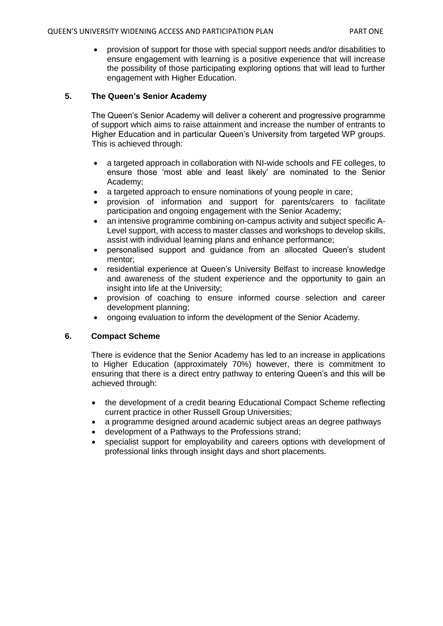provision of support for those with special support needs and/or disabilities to ensure engagement with learning is a positive experience that will increase the possibility of those participating exploring options that will lead to further engagement with Higher Education.

## **5. The Queen's Senior Academy**

The Queen's Senior Academy will deliver a coherent and progressive programme of support which aims to raise attainment and increase the number of entrants to Higher Education and in particular Queen's University from targeted WP groups. This is achieved through:

- a targeted approach in collaboration with NI-wide schools and FE colleges, to ensure those 'most able and least likely' are nominated to the Senior Academy;
- a targeted approach to ensure nominations of young people in care;
- provision of information and support for parents/carers to facilitate participation and ongoing engagement with the Senior Academy;
- an intensive programme combining on-campus activity and subject specific A-Level support, with access to master classes and workshops to develop skills, assist with individual learning plans and enhance performance;
- personalised support and guidance from an allocated Queen's student mentor;
- residential experience at Queen's University Belfast to increase knowledge and awareness of the student experience and the opportunity to gain an insight into life at the University;
- provision of coaching to ensure informed course selection and career development planning;
- ongoing evaluation to inform the development of the Senior Academy.

## **6. Compact Scheme**

There is evidence that the Senior Academy has led to an increase in applications to Higher Education (approximately 70%) however, there is commitment to ensuring that there is a direct entry pathway to entering Queen's and this will be achieved through:

- the development of a credit bearing Educational Compact Scheme reflecting current practice in other Russell Group Universities;
- a programme designed around academic subject areas an degree pathways
- development of a Pathways to the Professions strand;
- specialist support for employability and careers options with development of professional links through insight days and short placements.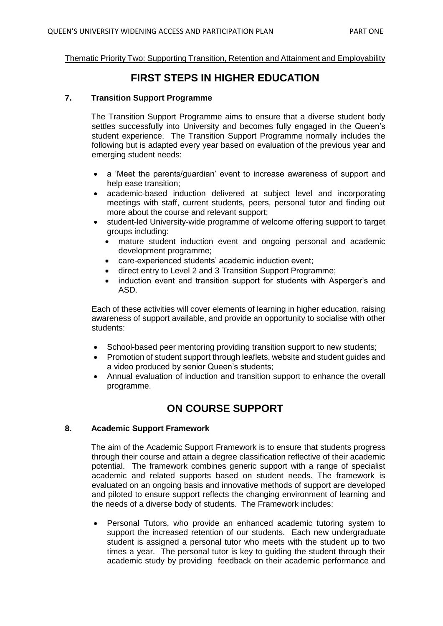### Thematic Priority Two: Supporting Transition, Retention and Attainment and Employability

# **FIRST STEPS IN HIGHER EDUCATION**

### **7. Transition Support Programme**

The Transition Support Programme aims to ensure that a diverse student body settles successfully into University and becomes fully engaged in the Queen's student experience. The Transition Support Programme normally includes the following but is adapted every year based on evaluation of the previous year and emerging student needs:

- a 'Meet the parents/guardian' event to increase awareness of support and help ease transition;
- academic-based induction delivered at subject level and incorporating meetings with staff, current students, peers, personal tutor and finding out more about the course and relevant support;
- student-led University-wide programme of welcome offering support to target groups including:
	- mature student induction event and ongoing personal and academic development programme;
	- care-experienced students' academic induction event;
	- direct entry to Level 2 and 3 Transition Support Programme;
	- induction event and transition support for students with Asperger's and ASD.

Each of these activities will cover elements of learning in higher education, raising awareness of support available, and provide an opportunity to socialise with other students:

- School-based peer mentoring providing transition support to new students;
- Promotion of student support through leaflets, website and student guides and a video produced by senior Queen's students;
- Annual evaluation of induction and transition support to enhance the overall programme.

# **ON COURSE SUPPORT**

#### **8. Academic Support Framework**

The aim of the Academic Support Framework is to ensure that students progress through their course and attain a degree classification reflective of their academic potential. The framework combines generic support with a range of specialist academic and related supports based on student needs. The framework is evaluated on an ongoing basis and innovative methods of support are developed and piloted to ensure support reflects the changing environment of learning and the needs of a diverse body of students. The Framework includes:

 Personal Tutors, who provide an enhanced academic tutoring system to support the increased retention of our students. Each new undergraduate student is assigned a personal tutor who meets with the student up to two times a year. The personal tutor is key to guiding the student through their academic study by providing feedback on their academic performance and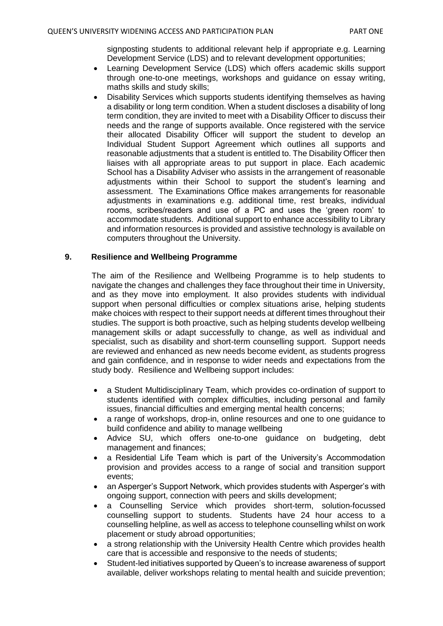signposting students to additional relevant help if appropriate e.g. Learning Development Service (LDS) and to relevant development opportunities;

- Learning Development Service (LDS) which offers academic skills support through one-to-one meetings, workshops and guidance on essay writing, maths skills and study skills;
- Disability Services which supports students identifying themselves as having a disability or long term condition. When a student discloses a disability of long term condition, they are invited to meet with a Disability Officer to discuss their needs and the range of supports available. Once registered with the service their allocated Disability Officer will support the student to develop an Individual Student Support Agreement which outlines all supports and reasonable adjustments that a student is entitled to. The Disability Officer then liaises with all appropriate areas to put support in place. Each academic School has a Disability Adviser who assists in the arrangement of reasonable adjustments within their School to support the student's learning and assessment. The Examinations Office makes arrangements for reasonable adjustments in examinations e.g. additional time, rest breaks, individual rooms, scribes/readers and use of a PC and uses the 'green room' to accommodate students. Additional support to enhance accessibility to Library and information resources is provided and assistive technology is available on computers throughout the University.

## **9. Resilience and Wellbeing Programme**

The aim of the Resilience and Wellbeing Programme is to help students to navigate the changes and challenges they face throughout their time in University, and as they move into employment. It also provides students with individual support when personal difficulties or complex situations arise, helping students make choices with respect to their support needs at different times throughout their studies. The support is both proactive, such as helping students develop wellbeing management skills or adapt successfully to change, as well as individual and specialist, such as disability and short-term counselling support. Support needs are reviewed and enhanced as new needs become evident, as students progress and gain confidence, and in response to wider needs and expectations from the study body. Resilience and Wellbeing support includes:

- a Student Multidisciplinary Team, which provides co-ordination of support to students identified with complex difficulties, including personal and family issues, financial difficulties and emerging mental health concerns;
- a range of workshops, drop-in, online resources and one to one guidance to build confidence and ability to manage wellbeing
- Advice SU, which offers one-to-one guidance on budgeting, debt management and finances;
- a Residential Life Team which is part of the University's Accommodation provision and provides access to a range of social and transition support events;
- an Asperger's Support Network, which provides students with Asperger's with ongoing support, connection with peers and skills development;
- a Counselling Service which provides short-term, solution-focussed counselling support to students. Students have 24 hour access to a counselling helpline, as well as access to telephone counselling whilst on work placement or study abroad opportunities;
- a strong relationship with the University Health Centre which provides health care that is accessible and responsive to the needs of students;
- Student-led initiatives supported by Queen's to increase awareness of support available, deliver workshops relating to mental health and suicide prevention;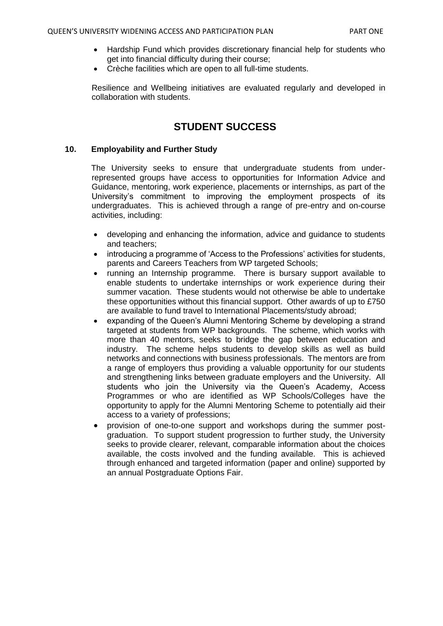- Hardship Fund which provides discretionary financial help for students who get into financial difficulty during their course;
- Crèche facilities which are open to all full-time students.

Resilience and Wellbeing initiatives are evaluated regularly and developed in collaboration with students.

# **STUDENT SUCCESS**

## **10. Employability and Further Study**

The University seeks to ensure that undergraduate students from underrepresented groups have access to opportunities for Information Advice and Guidance, mentoring, work experience, placements or internships, as part of the University's commitment to improving the employment prospects of its undergraduates. This is achieved through a range of pre-entry and on-course activities, including:

- developing and enhancing the information, advice and guidance to students and teachers;
- introducing a programme of 'Access to the Professions' activities for students, parents and Careers Teachers from WP targeted Schools;
- running an Internship programme. There is bursary support available to enable students to undertake internships or work experience during their summer vacation. These students would not otherwise be able to undertake these opportunities without this financial support. Other awards of up to £750 are available to fund travel to International Placements/study abroad;
- expanding of the Queen's Alumni Mentoring Scheme by developing a strand targeted at students from WP backgrounds. The scheme, which works with more than 40 mentors, seeks to bridge the gap between education and industry. The scheme helps students to develop skills as well as build networks and connections with business professionals. The mentors are from a range of employers thus providing a valuable opportunity for our students and strengthening links between graduate employers and the University. All students who join the University via the Queen's Academy, Access Programmes or who are identified as WP Schools/Colleges have the opportunity to apply for the Alumni Mentoring Scheme to potentially aid their access to a variety of professions;
- provision of one-to-one support and workshops during the summer postgraduation. To support student progression to further study, the University seeks to provide clearer, relevant, comparable information about the choices available, the costs involved and the funding available. This is achieved through enhanced and targeted information (paper and online) supported by an annual Postgraduate Options Fair.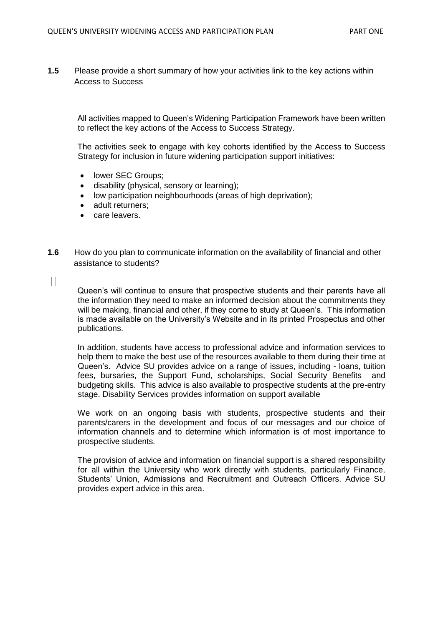**1.5** Please provide a short summary of how your activities link to the key actions within Access to Success

All activities mapped to Queen's Widening Participation Framework have been written to reflect the key actions of the Access to Success Strategy.

The activities seek to engage with key cohorts identified by the Access to Success Strategy for inclusion in future widening participation support initiatives:

- lower SEC Groups:
- disability (physical, sensory or learning);
- low participation neighbourhoods (areas of high deprivation);
- adult returners:
- care leavers.
- **1.6** How do you plan to communicate information on the availability of financial and other assistance to students?

 $\Box$ 

Queen's will continue to ensure that prospective students and their parents have all the information they need to make an informed decision about the commitments they will be making, financial and other, if they come to study at Queen's. This information is made available on the University's Website and in its printed Prospectus and other publications.

In addition, students have access to professional advice and information services to help them to make the best use of the resources available to them during their time at Queen's. Advice SU provides advice on a range of issues, including - loans, tuition fees, bursaries, the Support Fund, scholarships, Social Security Benefits and budgeting skills. This advice is also available to prospective students at the pre-entry stage. Disability Services provides information on support available

We work on an ongoing basis with students, prospective students and their parents/carers in the development and focus of our messages and our choice of information channels and to determine which information is of most importance to prospective students.

The provision of advice and information on financial support is a shared responsibility for all within the University who work directly with students, particularly Finance, Students' Union, Admissions and Recruitment and Outreach Officers. Advice SU provides expert advice in this area.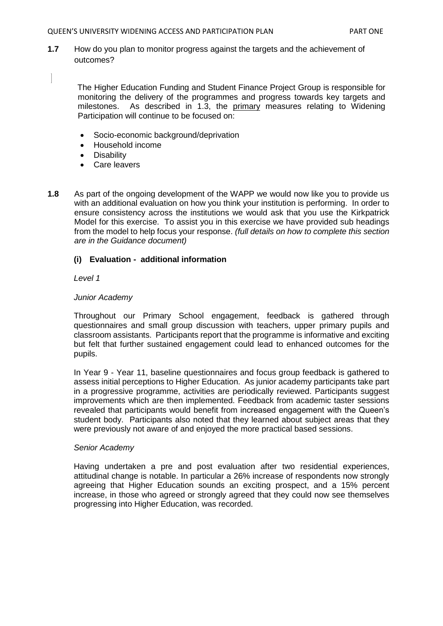**1.7** How do you plan to monitor progress against the targets and the achievement of outcomes?

The Higher Education Funding and Student Finance Project Group is responsible for monitoring the delivery of the programmes and progress towards key targets and milestones. As described in 1.3, the primary measures relating to Widening Participation will continue to be focused on:

- Socio-economic background/deprivation
- Household income
- **Disability**
- Care leavers
- **1.8** As part of the ongoing development of the WAPP we would now like you to provide us with an additional evaluation on how you think your institution is performing. In order to ensure consistency across the institutions we would ask that you use the Kirkpatrick Model for this exercise. To assist you in this exercise we have provided sub headings from the model to help focus your response. *(full details on how to complete this section are in the Guidance document)*

## **(i) Evaluation - additional information**

*Level 1* 

### *Junior Academy*

Throughout our Primary School engagement, feedback is gathered through questionnaires and small group discussion with teachers, upper primary pupils and classroom assistants. Participants report that the programme is informative and exciting but felt that further sustained engagement could lead to enhanced outcomes for the pupils.

In Year 9 - Year 11, baseline questionnaires and focus group feedback is gathered to assess initial perceptions to Higher Education. As junior academy participants take part in a progressive programme, activities are periodically reviewed. Participants suggest improvements which are then implemented. Feedback from academic taster sessions revealed that participants would benefit from increased engagement with the Queen's student body. Participants also noted that they learned about subject areas that they were previously not aware of and enjoyed the more practical based sessions.

## *Senior Academy*

Having undertaken a pre and post evaluation after two residential experiences, attitudinal change is notable. In particular a 26% increase of respondents now strongly agreeing that Higher Education sounds an exciting prospect, and a 15% percent increase, in those who agreed or strongly agreed that they could now see themselves progressing into Higher Education, was recorded.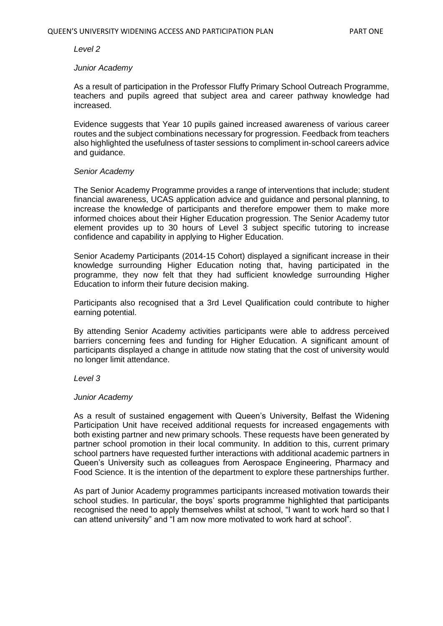#### *Level 2*

#### *Junior Academy*

As a result of participation in the Professor Fluffy Primary School Outreach Programme, teachers and pupils agreed that subject area and career pathway knowledge had increased.

Evidence suggests that Year 10 pupils gained increased awareness of various career routes and the subject combinations necessary for progression. Feedback from teachers also highlighted the usefulness of taster sessions to compliment in-school careers advice and guidance.

#### *Senior Academy*

The Senior Academy Programme provides a range of interventions that include; student financial awareness, UCAS application advice and guidance and personal planning, to increase the knowledge of participants and therefore empower them to make more informed choices about their Higher Education progression. The Senior Academy tutor element provides up to 30 hours of Level 3 subject specific tutoring to increase confidence and capability in applying to Higher Education.

Senior Academy Participants (2014-15 Cohort) displayed a significant increase in their knowledge surrounding Higher Education noting that, having participated in the programme, they now felt that they had sufficient knowledge surrounding Higher Education to inform their future decision making.

Participants also recognised that a 3rd Level Qualification could contribute to higher earning potential.

By attending Senior Academy activities participants were able to address perceived barriers concerning fees and funding for Higher Education. A significant amount of participants displayed a change in attitude now stating that the cost of university would no longer limit attendance.

#### *Level 3*

#### *Junior Academy*

As a result of sustained engagement with Queen's University, Belfast the Widening Participation Unit have received additional requests for increased engagements with both existing partner and new primary schools. These requests have been generated by partner school promotion in their local community. In addition to this, current primary school partners have requested further interactions with additional academic partners in Queen's University such as colleagues from Aerospace Engineering, Pharmacy and Food Science. It is the intention of the department to explore these partnerships further.

As part of Junior Academy programmes participants increased motivation towards their school studies. In particular, the boys' sports programme highlighted that participants recognised the need to apply themselves whilst at school, "I want to work hard so that I can attend university" and "I am now more motivated to work hard at school".